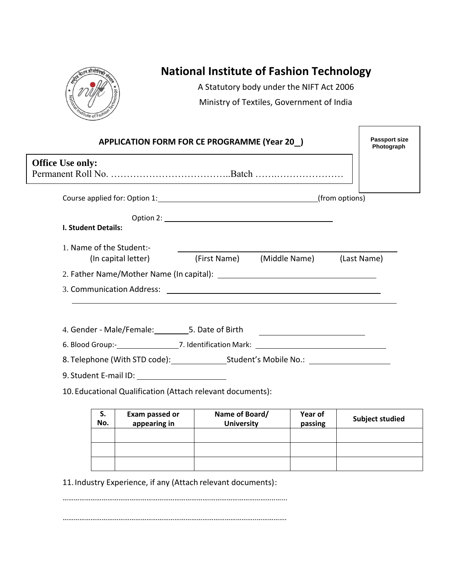

## **National Institute of Fashion Technology**

A Statutory body under the NIFT Act 2006 Ministry of Textiles, Government of India

F

|                                                                                                                                                                                                                               | <b>APPLICATION FORM FOR CE PROGRAMME (Year 20)</b> |                                        | <b>Passport size</b><br>Photograph |
|-------------------------------------------------------------------------------------------------------------------------------------------------------------------------------------------------------------------------------|----------------------------------------------------|----------------------------------------|------------------------------------|
| <b>Office Use only:</b>                                                                                                                                                                                                       |                                                    |                                        |                                    |
|                                                                                                                                                                                                                               |                                                    |                                        |                                    |
| Course applied for: Option 1: 1. 2010 1. 2010 1. [from options]                                                                                                                                                               |                                                    |                                        |                                    |
|                                                                                                                                                                                                                               |                                                    |                                        |                                    |
| I. Student Details:                                                                                                                                                                                                           |                                                    |                                        |                                    |
| 1. Name of the Student:-                                                                                                                                                                                                      |                                                    |                                        |                                    |
| (In capital letter)                                                                                                                                                                                                           |                                                    | (First Name) (Middle Name) (Last Name) |                                    |
|                                                                                                                                                                                                                               |                                                    |                                        |                                    |
|                                                                                                                                                                                                                               |                                                    |                                        |                                    |
|                                                                                                                                                                                                                               |                                                    |                                        |                                    |
| 4. Gender - Male/Female: __________5. Date of Birth ____________________________                                                                                                                                              |                                                    |                                        |                                    |
|                                                                                                                                                                                                                               |                                                    |                                        |                                    |
| 8. Telephone (With STD code): Student's Mobile No.: 2008                                                                                                                                                                      |                                                    |                                        |                                    |
| 9. Student E-mail ID: \\contact \\contact \\contact \\contact \\contact \\contact \\contact \\contact \\contact \\contact \\contact \\contact \\contact \\contact \\contact \\contact \\contact \\contact \\contact \\contact |                                                    |                                        |                                    |
| 10. Educational Qualification (Attach relevant documents):                                                                                                                                                                    |                                                    |                                        |                                    |

| S.<br>No. | Exam passed or<br>appearing in | Name of Board/<br><b>University</b> | Year of<br>passing | <b>Subject studied</b> |
|-----------|--------------------------------|-------------------------------------|--------------------|------------------------|
|           |                                |                                     |                    |                        |
|           |                                |                                     |                    |                        |
|           |                                |                                     |                    |                        |

11.Industry Experience, if any (Attach relevant documents):

…………………………………………………………………….……………………………..…...

…………………………………………………………………………………………..…………….